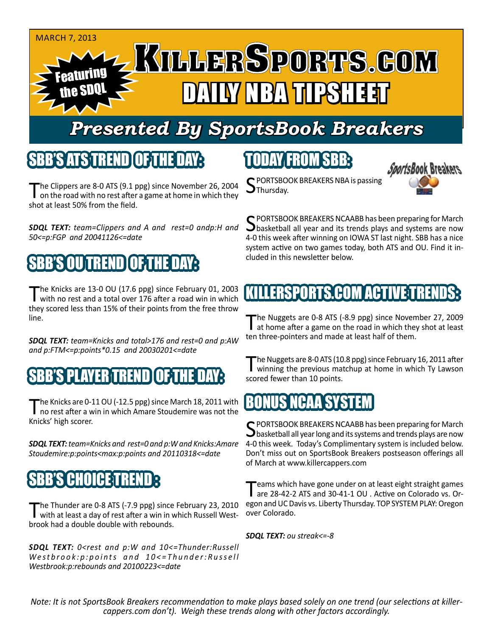#### MARCH 7, 2013 Featuring the SDQL DAINY NBA TIPSHEET

# *Presented By SportsBook Breakers*

### SBB'S ATSTREND

The Clippers are 8-0 ATS (9.1 ppg) since November 26, 2004 on the road with no rest after a game at home in which they shot at least 50% from the field.

*SDQL TEXT: team=Clippers and A and rest=0 andp:H and 50<=p:FGP and 20041126<=date*

# N BESID

The Knicks are 13-0 OU (17.6 ppg) since February 01, 2003<br>with no rest and a total over 176 after a road win in which they scored less than 15% of their points from the free throw line.

*SDQL TEXT: team=Knicks and total>176 and rest=0 and p:AW and p:FTM<=p:points\*0.15 and 20030201<=date*

### B'S PLAYER TREND

The Knicks are 0-11 OU (-12.5 ppg) since March 18, 2011 with<br>no rest after a win in which Amare Stoudemire was not the Knicks' high scorer.

*SDQL TEXT: team=Knicks and rest=0 and p:W and Knicks:Amare Stoudemire:p:points<max:p:points and 20110318<=date*

# 81H'OIA 11

The Thunder are 0-8 ATS (-7.9 ppg) since February 23, 2010 with at least a day of rest after a win in which Russell Westbrook had a double double with rebounds.

*SDQL TEXT: 0<rest and p:W and 10<=Thunder:Russell Westbrook:p:points and 10<=Thunder:Russell Westbrook:p:rebounds and 20100223<=date*

# TODAY FROM SBB:



C PORTSBOOK BREAKERS NBA is passing  $\mathbf{J}$ Thursday.

SPORTSBOOK BREAKERS NCAABB has been preparing for March basketball all year and its trends plays and systems are now 4-0 this week after winning on IOWA ST last night. SBB has a nice system active on two games today, both ATS and OU. Find it included in this newsletter below.

## KILLERSPORTS.COM ACTIVE:TR

The Nuggets are 0-8 ATS (-8.9 ppg) since November 27, 2009<br>at home after a game on the road in which they shot at least ten three-pointers and made at least half of them.

The Nuggets are 8-0 ATS (10.8 ppg) since February 16, 2011 after<br>winning the previous matchup at home in which Ty Lawson scored fewer than 10 points.

### BONUS NCAY

 $\mathsf{\mathsf{C}}$  PORTSBOOK BREAKERS NCAABB has been preparing for March  $\Box$ basketball all year long and its systems and trends plays are now 4-0 this week. Today's Complimentary system is included below. Don't miss out on SportsBook Breakers postseason offerings all of March at www.killercappers.com

Teams which have gone under on at least eight straight games<br>are 28-42-2 ATS and 30-41-1 OU . Active on Colorado vs. Oregon and UC Davis vs. Liberty Thursday. TOP SYSTEM PLAY: Oregon over Colorado.

*SDQL TEXT: ou streak<=-8*

*Note: It is not SportsBook Breakers recommendation to make plays based solely on one trend (our selections at killercappers.com don't). Weigh these trends along with other factors accordingly.*